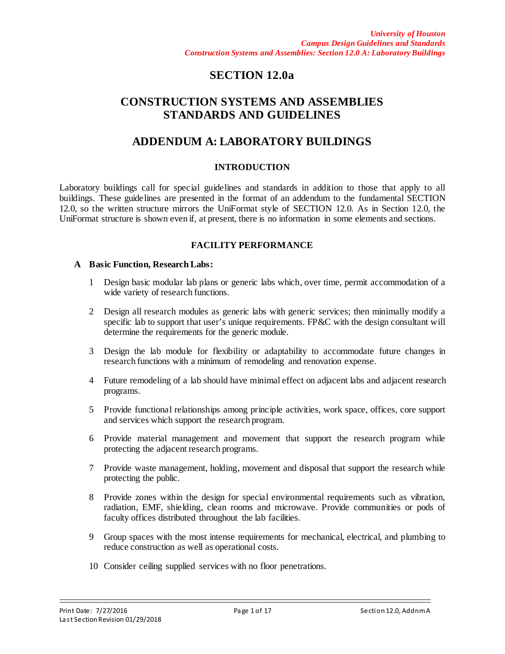# **SECTION 12.0a**

# **CONSTRUCTION SYSTEMS AND ASSEMBLIES STANDARDS AND GUIDELINES**

# **ADDENDUM A: LABORATORY BUILDINGS**

### **INTRODUCTION**

Laboratory buildings call for special guidelines and standards in addition to those that apply to all buildings. These guidelines are presented in the format of an addendum to the fundamental SECTION 12.0, so the written structure mirrors the UniFormat style of SECTION 12.0. As in Section 12.0, the UniFormat structure is shown even if, at present, there is no information in some elements and sections.

# **FACILITY PERFORMANCE**

#### **A Basic Function, Research Labs:**

- 1 Design basic modular lab plans or generic labs which, over time, permit accommodation of a wide variety of research functions.
- 2 Design all research modules as generic labs with generic services; then minimally modify a specific lab to support that user's unique requirements. FP&C with the design consultant will determine the requirements for the generic module.
- 3 Design the lab module for flexibility or adaptability to accommodate future changes in research functions with a minimum of remodeling and renovation expense.
- 4 Future remodeling of a lab should have minimal effect on adjacent labs and adjacent research programs.
- 5 Provide functional relationships among principle activities, work space, offices, core support and services which support the research program.
- 6 Provide material management and movement that support the research program while protecting the adjacent research programs.
- 7 Provide waste management, holding, movement and disposal that support the research while protecting the public.
- 8 Provide zones within the design for special environmental requirements such as vibration, radiation, EMF, shielding, clean rooms and microwave. Provide communities or pods of faculty offices distributed throughout the lab facilities.
- 9 Group spaces with the most intense requirements for mechanical, electrical, and plumbing to reduce construction as well as operational costs.
- 10 Consider ceiling supplied services with no floor penetrations.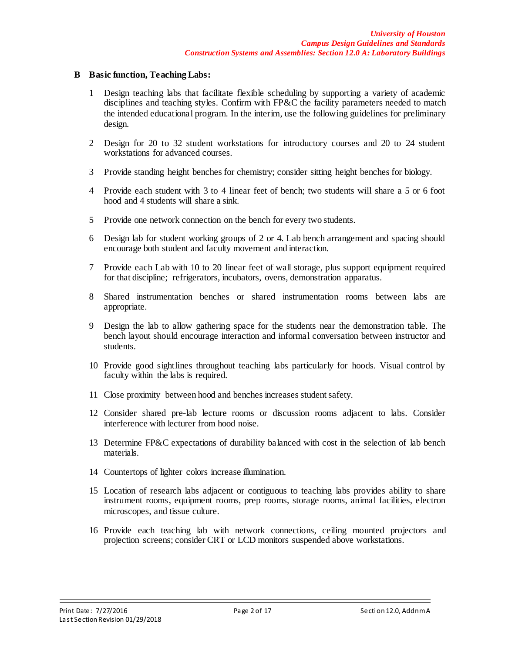#### **B Basic function, Teaching Labs:**

- 1 Design teaching labs that facilitate flexible scheduling by supporting a variety of academic disciplines and teaching styles. Confirm with FP&C the facility parameters needed to match the intended educational program. In the interim, use the following guidelines for preliminary design.
- 2 Design for 20 to 32 student workstations for introductory courses and 20 to 24 student workstations for advanced courses.
- 3 Provide standing height benches for chemistry; consider sitting height benches for biology.
- 4 Provide each student with 3 to 4 linear feet of bench; two students will share a 5 or 6 foot hood and 4 students will share a sink.
- 5 Provide one network connection on the bench for every two students.
- 6 Design lab for student working groups of 2 or 4. Lab bench arrangement and spacing should encourage both student and faculty movement and interaction.
- 7 Provide each Lab with 10 to 20 linear feet of wall storage, plus support equipment required for that discipline; refrigerators, incubators, ovens, demonstration apparatus.
- 8 Shared instrumentation benches or shared instrumentation rooms between labs are appropriate.
- 9 Design the lab to allow gathering space for the students near the demonstration table. The bench layout should encourage interaction and informal conversation between instructor and students.
- 10 Provide good sightlines throughout teaching labs particularly for hoods. Visual control by faculty within the labs is required.
- 11 Close proximity between hood and benches increases student safety.
- 12 Consider shared pre-lab lecture rooms or discussion rooms adjacent to labs. Consider interference with lecturer from hood noise.
- 13 Determine FP&C expectations of durability balanced with cost in the selection of lab bench materials.
- 14 Countertops of lighter colors increase illumination.
- 15 Location of research labs adjacent or contiguous to teaching labs provides ability to share instrument rooms, equipment rooms, prep rooms, storage rooms, animal facilities, electron microscopes, and tissue culture.
- 16 Provide each teaching lab with network connections, ceiling mounted projectors and projection screens; consider CRT or LCD monitors suspended above workstations.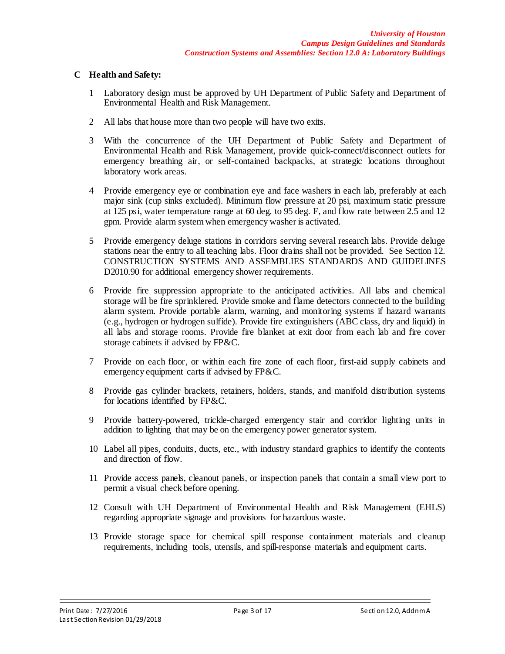### **C Health and Safety:**

- 1 Laboratory design must be approved by UH Department of Public Safety and Department of Environmental Health and Risk Management.
- 2 All labs that house more than two people will have two exits.
- 3 With the concurrence of the UH Department of Public Safety and Department of Environmental Health and Risk Management, provide quick-connect/disconnect outlets for emergency breathing air, or self-contained backpacks, at strategic locations throughout laboratory work areas.
- 4 Provide emergency eye or combination eye and face washers in each lab, preferably at each major sink (cup sinks excluded). Minimum flow pressure at 20 psi, maximum static pressure at 125 psi, water temperature range at 60 deg. to 95 deg. F, and flow rate between 2.5 and 12 gpm. Provide alarm system when emergency washer is activated.
- 5 Provide emergency deluge stations in corridors serving several research labs. Provide deluge stations near the entry to all teaching labs. Floor drains shall not be provided. See Section 12. CONSTRUCTION SYSTEMS AND ASSEMBLIES STANDARDS AND GUIDELINES D2010.90 for additional emergency shower requirements.
- 6 Provide fire suppression appropriate to the anticipated activities. All labs and chemical storage will be fire sprinklered. Provide smoke and flame detectors connected to the building alarm system. Provide portable alarm, warning, and monitoring systems if hazard warrants (e.g., hydrogen or hydrogen sulfide). Provide fire extinguishers (ABC class, dry and liquid) in all labs and storage rooms. Provide fire blanket at exit door from each lab and fire cover storage cabinets if advised by FP&C.
- 7 Provide on each floor, or within each fire zone of each floor, first-aid supply cabinets and emergency equipment carts if advised by FP&C.
- 8 Provide gas cylinder brackets, retainers, holders, stands, and manifold distribution systems for locations identified by FP&C.
- 9 Provide battery-powered, trickle-charged emergency stair and corridor lighting units in addition to lighting that may be on the emergency power generator system.
- 10 Label all pipes, conduits, ducts, etc., with industry standard graphics to identify the contents and direction of flow.
- 11 Provide access panels, cleanout panels, or inspection panels that contain a small view port to permit a visual check before opening.
- 12 Consult with UH Department of Environmental Health and Risk Management (EHLS) regarding appropriate signage and provisions for hazardous waste.
- 13 Provide storage space for chemical spill response containment materials and cleanup requirements, including tools, utensils, and spill-response materials and equipment carts.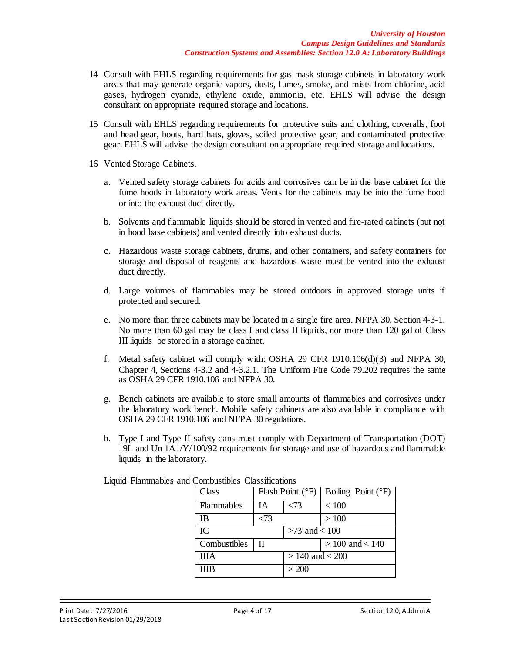- 14 Consult with EHLS regarding requirements for gas mask storage cabinets in laboratory work areas that may generate organic vapors, dusts, fumes, smoke, and mists from chlorine, acid gases, hydrogen cyanide, ethylene oxide, ammonia, etc. EHLS will advise the design consultant on appropriate required storage and locations.
- 15 Consult with EHLS regarding requirements for protective suits and clothing, coveralls, foot and head gear, boots, hard hats, gloves, soiled protective gear, and contaminated protective gear. EHLS will advise the design consultant on appropriate required storage and locations.
- 16 Vented Storage Cabinets.
	- a. Vented safety storage cabinets for acids and corrosives can be in the base cabinet for the fume hoods in laboratory work areas. Vents for the cabinets may be into the fume hood or into the exhaust duct directly.
	- b. Solvents and flammable liquids should be stored in vented and fire-rated cabinets (but not in hood base cabinets) and vented directly into exhaust ducts.
	- c. Hazardous waste storage cabinets, drums, and other containers, and safety containers for storage and disposal of reagents and hazardous waste must be vented into the exhaust duct directly.
	- d. Large volumes of flammables may be stored outdoors in approved storage units if protected and secured.
	- e. No more than three cabinets may be located in a single fire area. NFPA 30, Section 4-3-1. No more than 60 gal may be class I and class II liquids, nor more than 120 gal of Class III liquids be stored in a storage cabinet.
	- f. Metal safety cabinet will comply with: OSHA 29 CFR  $1910.106(d)(3)$  and NFPA 30, Chapter 4, Sections 4-3.2 and 4-3.2.1. The Uniform Fire Code 79.202 requires the same as OSHA 29 CFR 1910.106 and NFPA 30.
	- g. Bench cabinets are available to store small amounts of flammables and corrosives under the laboratory work bench. Mobile safety cabinets are also available in compliance with OSHA 29 CFR 1910.106 and NFPA 30 regulations.
	- h. Type I and Type II safety cans must comply with Department of Transportation (DOT) 19L and Un 1A1/Y/100/92 requirements for storage and use of hazardous and flammable liquids in the laboratory.

| Class             |              |                     | Flash Point ( ${}^{\circ}$ F)   Boiling Point ( ${}^{\circ}$ F) |
|-------------------|--------------|---------------------|-----------------------------------------------------------------|
| <b>Flammables</b> | IА           | $\langle 73$        | < 100                                                           |
| ΙB                | < 73         |                     | >100                                                            |
| IC                |              | $>73$ and $< 100$   |                                                                 |
| Combustibles      | $\mathbf{I}$ |                     | $> 100$ and $< 140$                                             |
| ШA                |              | $> 140$ and $< 200$ |                                                                 |
| ПB                |              | >200                |                                                                 |

Liquid Flammables and Combustibles Classifications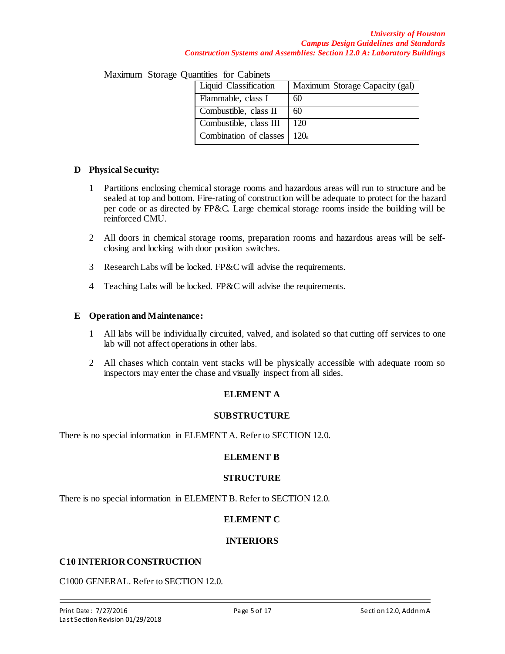| <u>aan ning italiku kaan ning n</u> |                                |  |  |
|-------------------------------------|--------------------------------|--|--|
| Liquid Classification               | Maximum Storage Capacity (gal) |  |  |
| Flammable, class I                  | 60                             |  |  |
| Combustible, class II               | 60                             |  |  |
| Combustible, class III              | 120                            |  |  |
| Combination of classes              | 120a                           |  |  |
|                                     |                                |  |  |

Maximum Storage Quantities for Cabinets

### **D Physical Security:**

- 1 Partitions enclosing chemical storage rooms and hazardous areas will run to structure and be sealed at top and bottom. Fire-rating of construction will be adequate to protect for the hazard per code or as directed by FP&C. Large chemical storage rooms inside the building will be reinforced CMU.
- 2 All doors in chemical storage rooms, preparation rooms and hazardous areas will be selfclosing and locking with door position switches.
- 3 Research Labs will be locked. FP&C will advise the requirements.
- 4 Teaching Labs will be locked. FP&C will advise the requirements.

#### **E Operation and Maintenance:**

- 1 All labs will be individually circuited, valved, and isolated so that cutting off services to one lab will not affect operations in other labs.
- 2 All chases which contain vent stacks will be physically accessible with adequate room so inspectors may enter the chase and visually inspect from all sides.

# **ELEMENT A**

#### **SUBSTRUCTURE**

There is no special information in ELEMENT A. Refer to SECTION 12.0.

#### **ELEMENT B**

#### **STRUCTURE**

There is no special information in ELEMENT B. Refer to SECTION 12.0.

# **ELEMENT C**

# **INTERIORS**

#### **C10 INTERIOR CONSTRUCTION**

C1000 GENERAL. Refer to SECTION 12.0.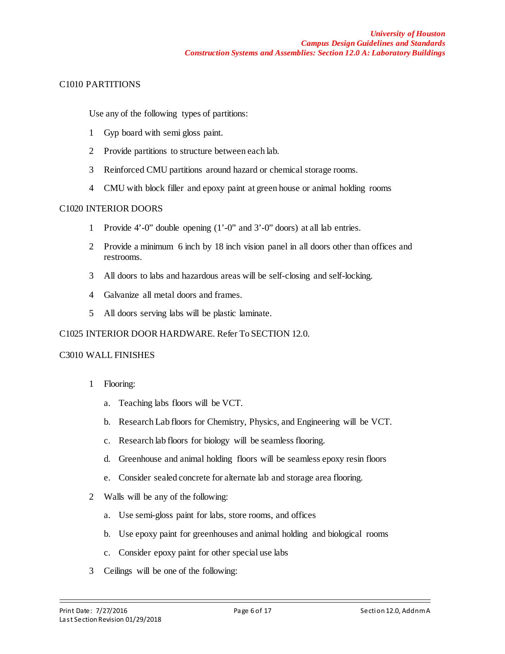# C1010 PARTITIONS

Use any of the following types of partitions:

- 1 Gyp board with semi gloss paint.
- 2 Provide partitions to structure between each lab.
- 3 Reinforced CMU partitions around hazard or chemical storage rooms.
- 4 CMU with block filler and epoxy paint at green house or animal holding rooms

### C1020 INTERIOR DOORS

- 1 Provide 4'-0" double opening (1'-0" and 3'-0" doors) at all lab entries.
- 2 Provide a minimum 6 inch by 18 inch vision panel in all doors other than offices and restrooms.
- 3 All doors to labs and hazardous areas will be self-closing and self-locking.
- 4 Galvanize all metal doors and frames.
- 5 All doors serving labs will be plastic laminate.

#### C1025 INTERIOR DOOR HARDWARE. Refer To SECTION 12.0.

#### C3010 WALL FINISHES

- 1 Flooring:
	- a. Teaching labs floors will be VCT.
	- b. Research Lab floors for Chemistry, Physics, and Engineering will be VCT.
	- c. Research lab floors for biology will be seamless flooring.
	- d. Greenhouse and animal holding floors will be seamless epoxy resin floors
	- e. Consider sealed concrete for alternate lab and storage area flooring.
- 2 Walls will be any of the following:
	- a. Use semi-gloss paint for labs, store rooms, and offices
	- b. Use epoxy paint for greenhouses and animal holding and biological rooms
	- c. Consider epoxy paint for other special use labs
- 3 Ceilings will be one of the following: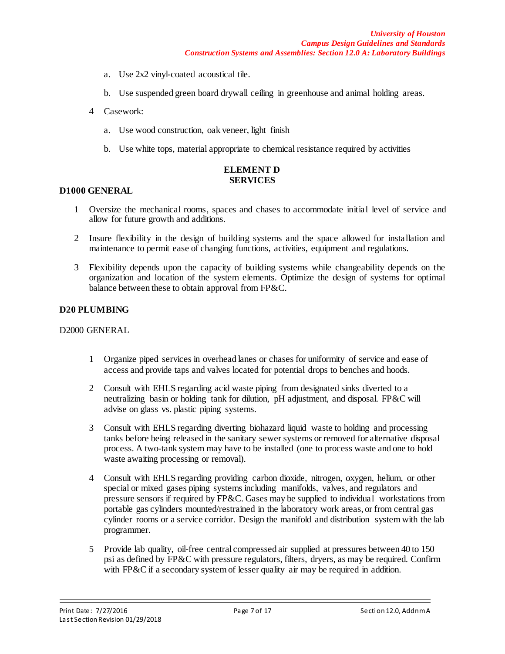- a. Use 2x2 vinyl-coated acoustical tile.
- b. Use suspended green board drywall ceiling in greenhouse and animal holding areas.
- 4 Casework:
	- a. Use wood construction, oak veneer, light finish
	- b. Use white tops, material appropriate to chemical resistance required by activities

#### **ELEMENT D SERVICES**

#### **D1000 GENERAL**

- 1 Oversize the mechanical rooms, spaces and chases to accommodate initial level of service and allow for future growth and additions.
- 2 Insure flexibility in the design of building systems and the space allowed for installation and maintenance to permit ease of changing functions, activities, equipment and regulations.
- 3 Flexibility depends upon the capacity of building systems while changeability depends on the organization and location of the system elements. Optimize the design of systems for optimal balance between these to obtain approval from FP&C.

#### **D20 PLUMBING**

#### D2000 GENERAL

- 1 Organize piped services in overhead lanes or chases for uniformity of service and ease of access and provide taps and valves located for potential drops to benches and hoods.
- 2 Consult with EHLS regarding acid waste piping from designated sinks diverted to a neutralizing basin or holding tank for dilution, pH adjustment, and disposal. FP&C will advise on glass vs. plastic piping systems.
- 3 Consult with EHLS regarding diverting biohazard liquid waste to holding and processing tanks before being released in the sanitary sewer systems or removed for alternative disposal process. A two-tank system may have to be installed (one to process waste and one to hold waste awaiting processing or removal).
- 4 Consult with EHLS regarding providing carbon dioxide, nitrogen, oxygen, helium, or other special or mixed gases piping systems including manifolds, valves, and regulators and pressure sensors if required by FP&C. Gases may be supplied to individual workstations from portable gas cylinders mounted/restrained in the laboratory work areas, or from central gas cylinder rooms or a service corridor. Design the manifold and distribution system with the lab programmer.
- 5 Provide lab quality, oil-free central compressed air supplied at pressures between 40 to 150 psi as defined by FP&C with pressure regulators, filters, dryers, as may be required. Confirm with FP&C if a secondary system of lesser quality air may be required in addition.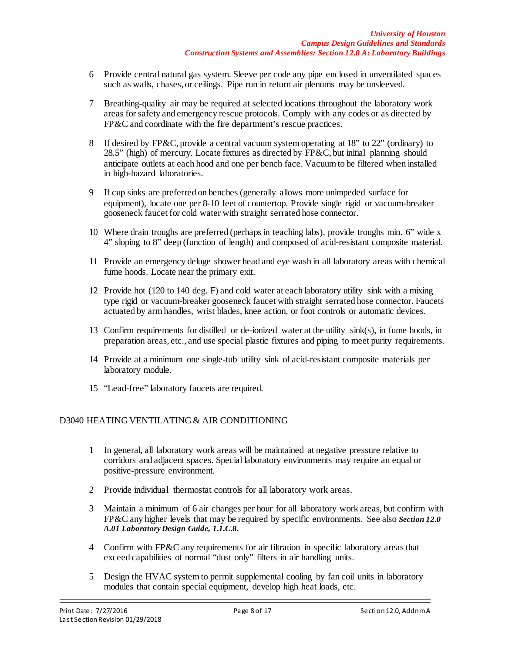- 6 Provide central natural gas system. Sleeve per code any pipe enclosed in unventilated spaces such as walls, chases, or ceilings. Pipe run in return air plenums may be unsleeved.
- 7 Breathing-quality air may be required at selected locations throughout the laboratory work areas for safety and emergency rescue protocols. Comply with any codes or as directed by FP&C and coordinate with the fire department's rescue practices.
- 8 If desired by FP&C, provide a central vacuum system operating at 18" to 22" (ordinary) to 28.5" (high) of mercury. Locate fixtures as directed by FP&C, but initial planning should anticipate outlets at each hood and one per bench face. Vacuum to be filtered when installed in high-hazard laboratories.
- 9 If cup sinks are preferred on benches (generally allows more unimpeded surface for equipment), locate one per 8-10 feet of countertop. Provide single rigid or vacuum-breaker gooseneck faucet for cold water with straight serrated hose connector.
- 10 Where drain troughs are preferred (perhaps in teaching labs), provide troughs min. 6" wide x 4" sloping to 8" deep (function of length) and composed of acid-resistant composite material.
- 11 Provide an emergency deluge shower head and eye wash in all laboratory areas with chemical fume hoods. Locate near the primary exit.
- 12 Provide hot (120 to 140 deg. F) and cold water at each laboratory utility sink with a mixing type rigid or vacuum-breaker gooseneck faucet with straight serrated hose connector. Faucets actuated by arm handles, wrist blades, knee action, or foot controls or automatic devices.
- 13 Confirm requirements for distilled or de-ionized water at the utility sink(s), in fume hoods, in preparation areas, etc., and use special plastic fixtures and piping to meet purity requirements.
- 14 Provide at a minimum one single-tub utility sink of acid-resistant composite materials per laboratory module.
- 15 "Lead-free" laboratory faucets are required.

# D3040 HEATING VENTILATING & AIR CONDITIONING

- 1 In general, all laboratory work areas will be maintained at negative pressure relative to corridors and adjacent spaces. Special laboratory environments may require an equal or positive-pressure environment.
- 2 Provide individual thermostat controls for all laboratory work areas.
- 3 Maintain a minimum of 6 air changes per hour for all laboratory work areas, but confirm with FP&C any higher levels that may be required by specific environments. See also *Section 12.0 A.01 Laboratory Design Guide, 1.1.C.8.*
- 4 Confirm with FP&C any requirements for air filtration in specific laboratory areas that exceed capabilities of normal "dust only" filters in air handling units.
- 5 Design the HVAC system to permit supplemental cooling by fan coil units in laboratory modules that contain special equipment, develop high heat loads, etc.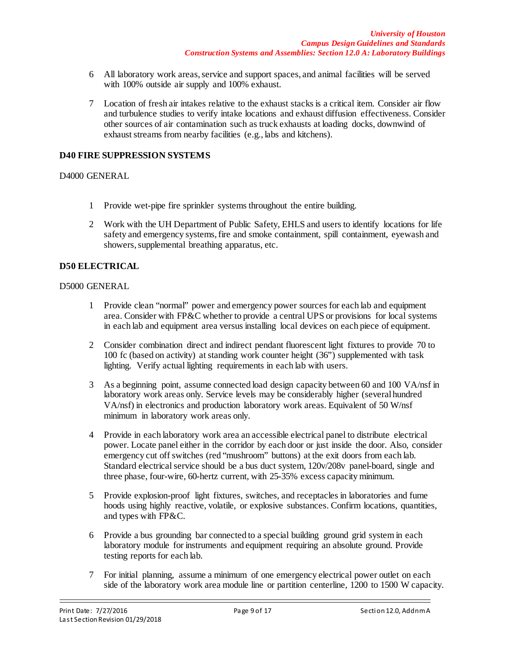- 6 All laboratory work areas, service and support spaces, and animal facilities will be served with 100% outside air supply and 100% exhaust.
- 7 Location of fresh air intakes relative to the exhaust stacks is a critical item. Consider air flow and turbulence studies to verify intake locations and exhaust diffusion effectiveness. Consider other sources of air contamination such as truck exhausts at loading docks, downwind of exhaust streams from nearby facilities (e.g., labs and kitchens).

#### **D40 FIRE SUPPRESSION SYSTEMS**

#### D4000 GENERAL

- 1 Provide wet-pipe fire sprinkler systems throughout the entire building.
- 2 Work with the UH Department of Public Safety, EHLS and users to identify locations for life safety and emergency systems, fire and smoke containment, spill containment, eyewash and showers, supplemental breathing apparatus, etc.

#### **D50 ELECTRICAL**

#### D5000 GENERAL

- 1 Provide clean "normal" power and emergency power sources for each lab and equipment area. Consider with FP $\&C$  whether to provide a central UPS or provisions for local systems in each lab and equipment area versus installing local devices on each piece of equipment.
- 2 Consider combination direct and indirect pendant fluorescent light fixtures to provide 70 to 100 fc (based on activity) at standing work counter height (36") supplemented with task lighting. Verify actual lighting requirements in each lab with users.
- 3 As a beginning point, assume connected load design capacity between 60 and 100 VA/nsf in laboratory work areas only. Service levels may be considerably higher (several hundred VA/nsf) in electronics and production laboratory work areas. Equivalent of 50 W/nsf minimum in laboratory work areas only.
- 4 Provide in each laboratory work area an accessible electrical panel to distribute electrical power. Locate panel either in the corridor by each door or just inside the door. Also, consider emergency cut off switches (red "mushroom" buttons) at the exit doors from each lab. Standard electrical service should be a bus duct system, 120v/208v panel-board, single and three phase, four-wire, 60-hertz current, with 25-35% excess capacity minimum.
- 5 Provide explosion-proof light fixtures, switches, and receptacles in laboratories and fume hoods using highly reactive, volatile, or explosive substances. Confirm locations, quantities, and types with FP&C.
- 6 Provide a bus grounding bar connected to a special building ground grid system in each laboratory module for instruments and equipment requiring an absolute ground. Provide testing reports for each lab.
- 7 For initial planning, assume a minimum of one emergency electrical power outlet on each side of the laboratory work area module line or partition centerline, 1200 to 1500 W capacity.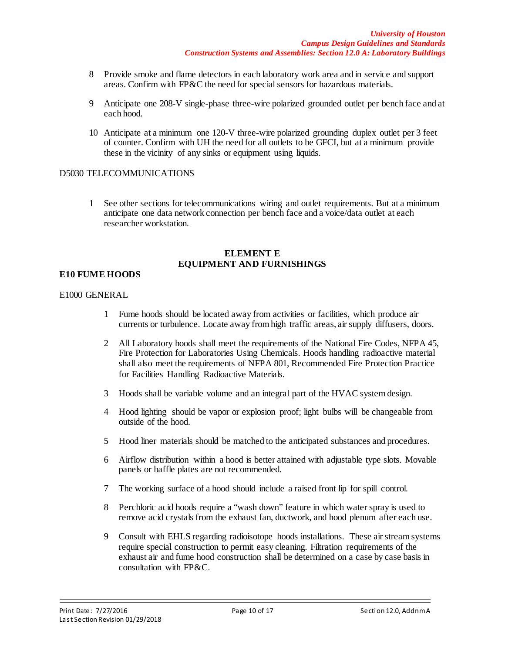- 8 Provide smoke and flame detectors in each laboratory work area and in service and support areas. Confirm with FP&C the need for special sensors for hazardous materials.
- 9 Anticipate one 208-V single-phase three-wire polarized grounded outlet per bench face and at each hood.
- 10 Anticipate at a minimum one 120-V three-wire polarized grounding duplex outlet per 3 feet of counter. Confirm with UH the need for all outlets to be GFCI, but at a minimum provide these in the vicinity of any sinks or equipment using liquids.

#### D5030 TELECOMMUNICATIONS

1 See other sections for telecommunications wiring and outlet requirements. But at a minimum anticipate one data network connection per bench face and a voice/data outlet at each researcher workstation.

#### **ELEMENT E EQUIPMENT AND FURNISHINGS**

#### **E10 FUME HOODS**

#### E1000 GENERAL

- 1 Fume hoods should be located away from activities or facilities, which produce air currents or turbulence. Locate away from high traffic areas, air supply diffusers, doors.
- 2 All Laboratory hoods shall meet the requirements of the National Fire Codes, NFPA 45, Fire Protection for Laboratories Using Chemicals. Hoods handling radioactive material shall also meet the requirements of NFPA 801, Recommended Fire Protection Practice for Facilities Handling Radioactive Materials.
- 3 Hoods shall be variable volume and an integral part of the HVAC system design.
- 4 Hood lighting should be vapor or explosion proof; light bulbs will be changeable from outside of the hood.
- 5 Hood liner materials should be matched to the anticipated substances and procedures.
- 6 Airflow distribution within a hood is better attained with adjustable type slots. Movable panels or baffle plates are not recommended.
- 7 The working surface of a hood should include a raised front lip for spill control.
- 8 Perchloric acid hoods require a "wash down" feature in which water spray is used to remove acid crystals from the exhaust fan, ductwork, and hood plenum after each use.
- 9 Consult with EHLS regarding radioisotope hoods installations. These air stream systems require special construction to permit easy cleaning. Filtration requirements of the exhaust air and fume hood construction shall be determined on a case by case basis in consultation with FP&C.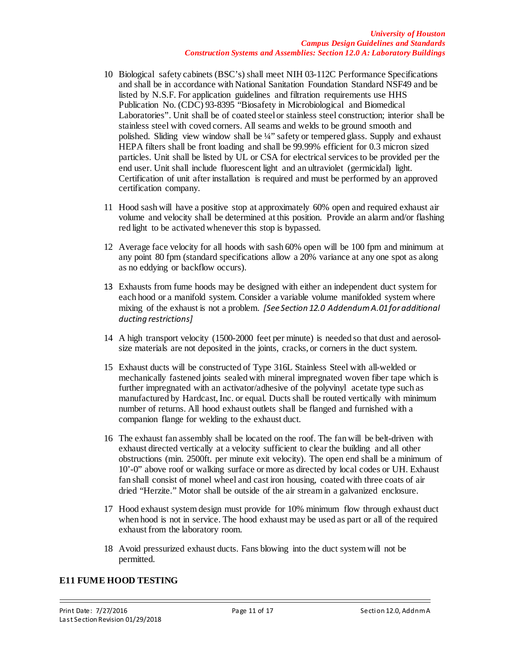- 10 Biological safety cabinets (BSC's) shall meet NIH 03-112C Performance Specifications and shall be in accordance with National Sanitation Foundation Standard NSF49 and be listed by N.S.F. For application guidelines and filtration requirements use HHS Publication No. (CDC) 93-8395 "Biosafety in Microbiological and Biomedical Laboratories". Unit shall be of coated steel or stainless steel construction; interior shall be stainless steel with coved corners. All seams and welds to be ground smooth and polished. Sliding view window shall be 1/4" safety or tempered glass. Supply and exhaust HEPA filters shall be front loading and shall be 99.99% efficient for 0.3 micron sized particles. Unit shall be listed by UL or CSA for electrical services to be provided per the end user. Unit shall include fluorescent light and an ultraviolet (germicidal) light. Certification of unit after installation is required and must be performed by an approved certification company.
- 11 Hood sash will have a positive stop at approximately 60% open and required exhaust air volume and velocity shall be determined at this position. Provide an alarm and/or flashing red light to be activated whenever this stop is bypassed.
- 12 Average face velocity for all hoods with sash 60% open will be 100 fpm and minimum at any point 80 fpm (standard specifications allow a 20% variance at any one spot as along as no eddying or backflow occurs).
- 13 Exhausts from fume hoods may be designed with either an independent duct system for each hood or a manifold system. Consider a variable volume manifolded system where mixing of the exhaust is not a problem. *[See Section 12.0 Addendum A.01 for additional ducting restrictions]*
- 14 A high transport velocity (1500-2000 feet per minute) is needed so that dust and aerosolsize materials are not deposited in the joints, cracks, or corners in the duct system.
- 15 Exhaust ducts will be constructed of Type 316L Stainless Steel with all-welded or mechanically fastened joints sealed with mineral impregnated woven fiber tape which is further impregnated with an activator/adhesive of the polyvinyl acetate type such as manufactured by Hardcast, Inc. or equal. Ducts shall be routed vertically with minimum number of returns. All hood exhaust outlets shall be flanged and furnished with a companion flange for welding to the exhaust duct.
- 16 The exhaust fan assembly shall be located on the roof. The fan will be belt-driven with exhaust directed vertically at a velocity sufficient to clear the building and all other obstructions (min. 2500ft. per minute exit velocity). The open end shall be a minimum of 10'-0" above roof or walking surface or more as directed by local codes or UH. Exhaust fan shall consist of monel wheel and cast iron housing, coated with three coats of air dried "Herzite." Motor shall be outside of the air stream in a galvanized enclosure.
- 17 Hood exhaust system design must provide for 10% minimum flow through exhaust duct when hood is not in service. The hood exhaust may be used as part or all of the required exhaust from the laboratory room.
- 18 Avoid pressurized exhaust ducts. Fans blowing into the duct system will not be permitted.

#### **E11 FUME HOOD TESTING**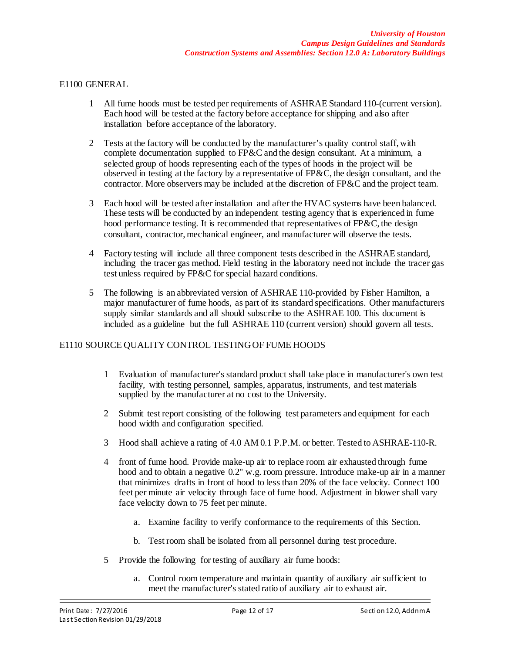#### E1100 GENERAL

- 1 All fume hoods must be tested per requirements of ASHRAE Standard 110-(current version). Each hood will be tested at the factory before acceptance for shipping and also after installation before acceptance of the laboratory.
- 2 Tests at the factory will be conducted by the manufacturer's quality control staff, with complete documentation supplied to FP&C and the design consultant. At a minimum, a selected group of hoods representing each of the types of hoods in the project will be observed in testing at the factory by a representative of FP&C, the design consultant, and the contractor. More observers may be included at the discretion of FP&C and the project team.
- 3 Each hood will be tested after installation and after the HVAC systems have been balanced. These tests will be conducted by an independent testing agency that is experienced in fume hood performance testing. It is recommended that representatives of FP&C, the design consultant, contractor, mechanical engineer, and manufacturer will observe the tests.
- 4 Factory testing will include all three component tests described in the ASHRAE standard, including the tracer gas method. Field testing in the laboratory need not include the tracer gas test unless required by FP&C for special hazard conditions.
- 5 The following is an abbreviated version of ASHRAE 110-provided by Fisher Hamilton, a major manufacturer of fume hoods, as part of its standard specifications. Other manufacturers supply similar standards and all should subscribe to the ASHRAE 100. This document is included as a guideline but the full ASHRAE 110 (current version) should govern all tests.

# E1110 SOURCE QUALITY CONTROL TESTING OF FUME HOODS

- 1 Evaluation of manufacturer's standard product shall take place in manufacturer's own test facility, with testing personnel, samples, apparatus, instruments, and test materials supplied by the manufacturer at no cost to the University.
- 2 Submit test report consisting of the following test parameters and equipment for each hood width and configuration specified.
- 3 Hood shall achieve a rating of 4.0 AM 0.1 P.P.M. or better. Tested to ASHRAE-110-R.
- 4 front of fume hood. Provide make-up air to replace room air exhausted through fume hood and to obtain a negative 0.2" w.g. room pressure. Introduce make-up air in a manner that minimizes drafts in front of hood to less than 20% of the face velocity. Connect 100 feet per minute air velocity through face of fume hood. Adjustment in blower shall vary face velocity down to 75 feet per minute.
	- a. Examine facility to verify conformance to the requirements of this Section.
	- b. Test room shall be isolated from all personnel during test procedure.
- 5 Provide the following for testing of auxiliary air fume hoods:
	- a. Control room temperature and maintain quantity of auxiliary air sufficient to meet the manufacturer's stated ratio of auxiliary air to exhaust air.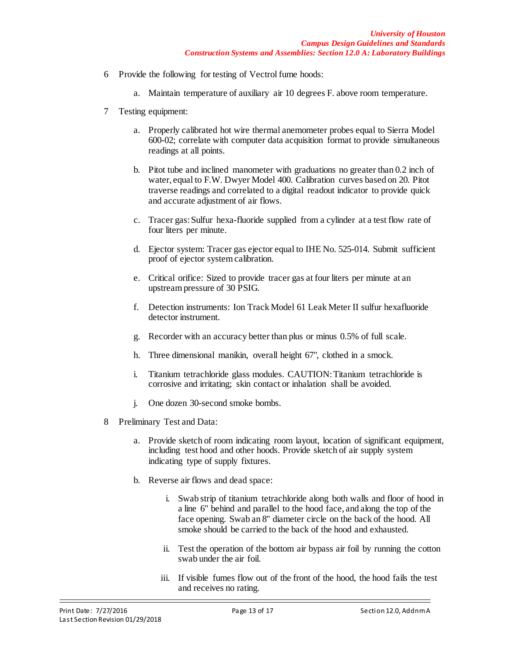- 6 Provide the following for testing of Vectrol fume hoods:
	- a. Maintain temperature of auxiliary air 10 degrees F. above room temperature.
- 7 Testing equipment:
	- a. Properly calibrated hot wire thermal anemometer probes equal to Sierra Model 600-02; correlate with computer data acquisition format to provide simultaneous readings at all points.
	- b. Pitot tube and inclined manometer with graduations no greater than 0.2 inch of water, equal to F.W. Dwyer Model 400. Calibration curves based on 20. Pitot traverse readings and correlated to a digital readout indicator to provide quick and accurate adjustment of air flows.
	- c. Tracer gas: Sulfur hexa-fluoride supplied from a cylinder at a test flow rate of four liters per minute.
	- d. Ejector system: Tracer gas ejector equal to IHE No. 525-014. Submit sufficient proof of ejector system calibration.
	- e. Critical orifice: Sized to provide tracer gas at four liters per minute at an upstream pressure of 30 PSIG.
	- f. Detection instruments: Ion Track Model 61 Leak Meter II sulfur hexafluoride detector instrument.
	- g. Recorder with an accuracy better than plus or minus 0.5% of full scale.
	- h. Three dimensional manikin, overall height 67", clothed in a smock.
	- i. Titanium tetrachloride glass modules. CAUTION: Titanium tetrachloride is corrosive and irritating; skin contact or inhalation shall be avoided.
	- j. One dozen 30-second smoke bombs.
- 8 Preliminary Test and Data:
	- a. Provide sketch of room indicating room layout, location of significant equipment, including test hood and other hoods. Provide sketch of air supply system indicating type of supply fixtures.
	- b. Reverse air flows and dead space:
		- i. Swab strip of titanium tetrachloride along both walls and floor of hood in a line 6" behind and parallel to the hood face, and along the top of the face opening. Swab an 8" diameter circle on the back of the hood. All smoke should be carried to the back of the hood and exhausted.
		- ii. Test the operation of the bottom air bypass air foil by running the cotton swab under the air foil.
		- iii. If visible fumes flow out of the front of the hood, the hood fails the test and receives no rating.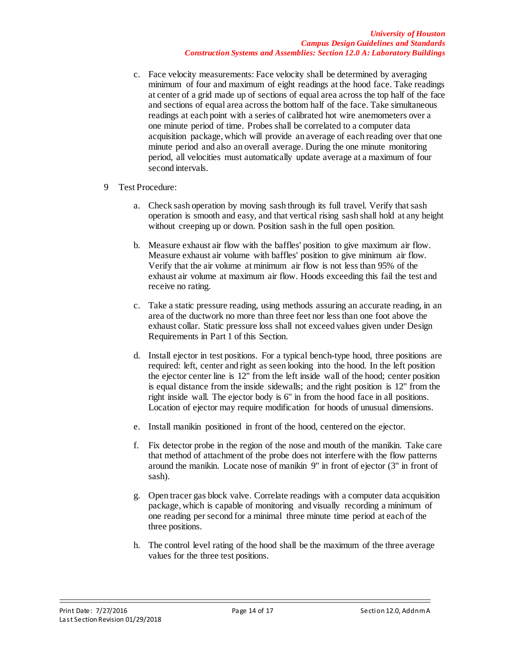- c. Face velocity measurements: Face velocity shall be determined by averaging minimum of four and maximum of eight readings at the hood face. Take readings at center of a grid made up of sections of equal area across the top half of the face and sections of equal area across the bottom half of the face. Take simultaneous readings at each point with a series of calibrated hot wire anemometers over a one minute period of time. Probes shall be correlated to a computer data acquisition package, which will provide an average of each reading over that one minute period and also an overall average. During the one minute monitoring period, all velocities must automatically update average at a maximum of four second intervals.
- 9 Test Procedure:
	- a. Check sash operation by moving sash through its full travel. Verify that sash operation is smooth and easy, and that vertical rising sash shall hold at any height without creeping up or down. Position sash in the full open position.
	- b. Measure exhaust air flow with the baffles' position to give maximum air flow. Measure exhaust air volume with baffles' position to give minimum air flow. Verify that the air volume at minimum air flow is not less than 95% of the exhaust air volume at maximum air flow. Hoods exceeding this fail the test and receive no rating.
	- c. Take a static pressure reading, using methods assuring an accurate reading, in an area of the ductwork no more than three feet nor less than one foot above the exhaust collar. Static pressure loss shall not exceed values given under Design Requirements in Part 1 of this Section.
	- d. Install ejector in test positions. For a typical bench-type hood, three positions are required: left, center and right as seen looking into the hood. In the left position the ejector center line is 12" from the left inside wall of the hood; center position is equal distance from the inside sidewalls; and the right position is 12" from the right inside wall. The ejector body is 6" in from the hood face in all positions. Location of ejector may require modification for hoods of unusual dimensions.
	- e. Install manikin positioned in front of the hood, centered on the ejector.
	- f. Fix detector probe in the region of the nose and mouth of the manikin. Take care that method of attachment of the probe does not interfere with the flow patterns around the manikin. Locate nose of manikin 9" in front of ejector (3" in front of sash).
	- g. Open tracer gas block valve. Correlate readings with a computer data acquisition package, which is capable of monitoring and visually recording a minimum of one reading per second for a minimal three minute time period at each of the three positions.
	- h. The control level rating of the hood shall be the maximum of the three average values for the three test positions.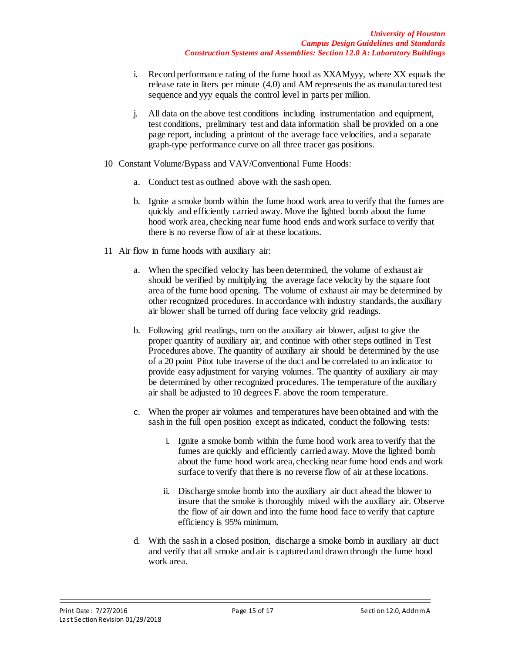- i. Record performance rating of the fume hood as XXAMyyy, where XX equals the release rate in liters per minute (4.0) and AM represents the as manufactured test sequence and yyy equals the control level in parts per million.
- j. All data on the above test conditions including instrumentation and equipment, test conditions, preliminary test and data information shall be provided on a one page report, including a printout of the average face velocities, and a separate graph-type performance curve on all three tracer gas positions.
- 10 Constant Volume/Bypass and VAV/Conventional Fume Hoods:
	- a. Conduct test as outlined above with the sash open.
	- b. Ignite a smoke bomb within the fume hood work area to verify that the fumes are quickly and efficiently carried away. Move the lighted bomb about the fume hood work area, checking near fume hood ends and work surface to verify that there is no reverse flow of air at these locations.
- 11 Air flow in fume hoods with auxiliary air:
	- a. When the specified velocity has been determined, the volume of exhaust air should be verified by multiplying the average face velocity by the square foot area of the fume hood opening. The volume of exhaust air may be determined by other recognized procedures. In accordance with industry standards, the auxiliary air blower shall be turned off during face velocity grid readings.
	- b. Following grid readings, turn on the auxiliary air blower, adjust to give the proper quantity of auxiliary air, and continue with other steps outlined in Test Procedures above. The quantity of auxiliary air should be determined by the use of a 20 point Pitot tube traverse of the duct and be correlated to an indicator to provide easy adjustment for varying volumes. The quantity of auxiliary air may be determined by other recognized procedures. The temperature of the auxiliary air shall be adjusted to 10 degrees F. above the room temperature.
	- c. When the proper air volumes and temperatures have been obtained and with the sash in the full open position except as indicated, conduct the following tests:
		- i. Ignite a smoke bomb within the fume hood work area to verify that the fumes are quickly and efficiently carried away. Move the lighted bomb about the fume hood work area, checking near fume hood ends and work surface to verify that there is no reverse flow of air at these locations.
		- ii. Discharge smoke bomb into the auxiliary air duct ahead the blower to insure that the smoke is thoroughly mixed with the auxiliary air. Observe the flow of air down and into the fume hood face to verify that capture efficiency is 95% minimum.
	- d. With the sash in a closed position, discharge a smoke bomb in auxiliary air duct and verify that all smoke and air is captured and drawn through the fume hood work area.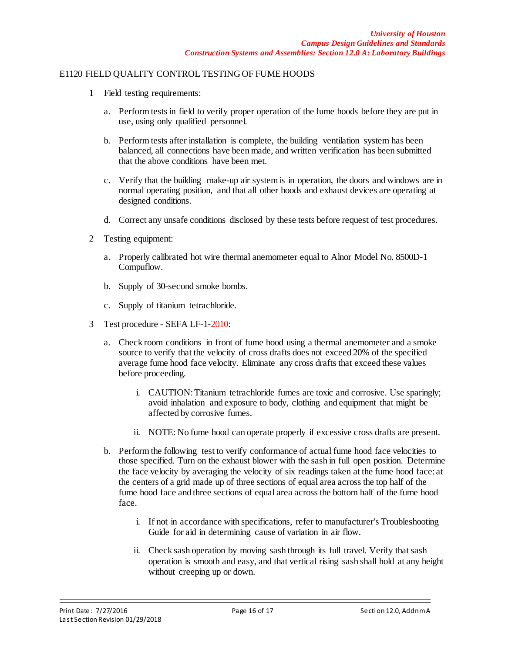#### E1120 FIELD QUALITY CONTROL TESTING OF FUME HOODS

- 1 Field testing requirements:
	- a. Perform tests in field to verify proper operation of the fume hoods before they are put in use, using only qualified personnel.
	- b. Perform tests after installation is complete, the building ventilation system has been balanced, all connections have been made, and written verification has been submitted that the above conditions have been met.
	- c. Verify that the building make-up air system is in operation, the doors and windows are in normal operating position, and that all other hoods and exhaust devices are operating at designed conditions.
	- d. Correct any unsafe conditions disclosed by these tests before request of test procedures.
- 2 Testing equipment:
	- a. Properly calibrated hot wire thermal anemometer equal to Alnor Model No. 8500D-1 Compuflow.
	- b. Supply of 30-second smoke bombs.
	- c. Supply of titanium tetrachloride.
- 3 Test procedure SEFA LF-1-2010:
	- a. Check room conditions in front of fume hood using a thermal anemometer and a smoke source to verify that the velocity of cross drafts does not exceed 20% of the specified average fume hood face velocity. Eliminate any cross drafts that exceed these values before proceeding.
		- i. CAUTION: Titanium tetrachloride fumes are toxic and corrosive. Use sparingly; avoid inhalation and exposure to body, clothing and equipment that might be affected by corrosive fumes.
		- ii. NOTE: No fume hood can operate properly if excessive cross drafts are present.
	- b. Perform the following test to verify conformance of actual fume hood face velocities to those specified. Turn on the exhaust blower with the sash in full open position. Determine the face velocity by averaging the velocity of six readings taken at the fume hood face: at the centers of a grid made up of three sections of equal area across the top half of the fume hood face and three sections of equal area across the bottom half of the fume hood face.
		- i. If not in accordance with specifications, refer to manufacturer's Troubleshooting Guide for aid in determining cause of variation in air flow.
		- ii. Check sash operation by moving sash through its full travel. Verify that sash operation is smooth and easy, and that vertical rising sash shall hold at any height without creeping up or down.